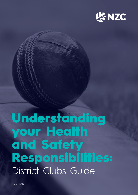

# Understanding your Health and Safety Responsibilities: District Clubs Guide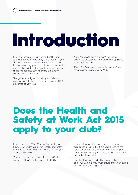# Introduction

Everyone deserves to get home healthy and safe at the end of each day. As a leader in your club your role is crucial in making that happen. By demonstrating your commitment to the health and safety (H&S) of the people involved in your cricketing activities you will make a powerful contribution to their lives.

This guide is designed to help you understand your role and to help you achieve positive H&S outcomes at your club.

*Note: this guide does not apply to school cricket, as these events are organised by school sport organisation.* 

*This guide has been prepared to assist those organisations supported by NZC.*

### Does the Health and Safety at Work Act 2015 apply to your club?

If your club is a PCBU (Person Conducting a Business or Undertaking), the Health and Safety at Work Act 2015 (HSWA) will apply to how you manage H&S risks.

Volunteer associations do not have H&S duties under the HSWA, as they are not PCBUs.

Nevertheless, whether your club is a volunteer association or a PCBU, it is good to ensure the safety of people at your club. This guide supports clubs on their journey to making club cricket a fun and safe place to be.

Use the flowchart to identify if your club is classed as a PCBU. If it is, you must ensure that your club is meeting its legal obligations.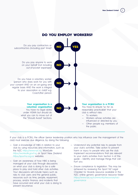

If your club is a PCBU, the officer (senior leadership position who has influence over the management of the club) must exercise due diligence, by doing the following:

- Gain a knowledge of H&S in relation to your club by using resources and information, such as the NZC *https://www.nzc.nz*, WorkSafe *https://worksafe.govt.nz*, or Sport New Zealand *https://sportnz.org.nz* websites.
- Gain an awareness of how H&S is being managed at your club through discussions on what your club is doing to be a safe place to play and hold other club activities. Your discussions will include topics such as risks to club users and the general public; resources such as time, people, equipment, process, and/or finance; and incidents that have occurred and what your club is doing to prevent recurrence.
- Understand any potential risks to people from your club's activities. Take action to prevent harm or injury to people who use the club. Implement recommendations that are relevant to your club's activities from Section 4 of this guide – Identify and manage things that can hurt you.
- Ensure compliance to legislation. This may be achieved by reviewing the Sport NZ Legal Checklist for Boards resource available in the NZC online generic governance resource folder *https://www.nzc.nz/community/resources/nzcgovernance* .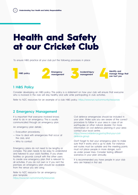### Health and Safety at our Cricket Club

To ensure H&S practice at your club put the following processes in place:



#### **1 H&S Policy**

Consider developing an H&S policy. This policy is a statement on how your club will ensure that everyone who is involved in the club will stay healthy and safe while participating in club activities.

Refer to NZC resources for an example of a club H&S policy. *https://www.nzc.nz/community/resources* 

#### **2 Emergency Management**

It is important that everyone involved knows what to do in an emergency. This is usually communicated through an emergency plan.

An emergency plan details:

- Evacuation procedures;
- How to deal with emergencies that occur at the club; and
- Who to contact.

Emergency plans do not need to be lengthy or complex. The plan needs to be easy to understand and tailored to your club's facilities. If you share facilities or grounds consult with the other users to create one emergency plan that is relevant to all activities. If you do not own or if you rent the premises an emergency plan should be available from the venue you are using.

Refer to NZC resource for an emergency plan template. *https://www.nzc.nz/community/resources*

Civil defence emergencies should be included in your plan. Make sure you are aware of the correct procedure to follow in your area in case of an earthquake or other natural disaster. For more information on civil defence planning in your area contact your local centre.

*https://www.civildefence.govt.nz/find-your-civildefence-group*

Don't forget to test your emergency plan to make sure that it works and is up to date. For instance exit routes must be suitable and the meeting points must not place people in more danger, such as under power lines. Consider testing different scenarios in your plan annually.

It is recommended you have people in your club who are trained in first aid.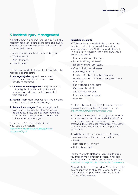#### **3 Incident/Injury Management**

No matter how big or small your club is, it is highly recommended you record all incidents and injuries in a register. Incidents are events that did or could have resulted in harm.

Ensure everybody involved in your club knows:

- What to report.
- When to report.
- How to report.

If there is an incident at your club this needs to be managed appropriately.

- **1. Manage injuries:** Injured persons must receive timely medical care and unsafe conditions corrected.
- **2. Conduct an investigation:** It is good practice to investigate all incidents. Establish what went wrong and how can it be prevented from recurring.
- **3. Fix the issue:** Make changes to fix the problem based on your investigation findings.
- **4. Review the changes:** Check changes put in place and make sure that they are working as expected. If they are not, make additional changes until it can be established that the incident won't happen again.

Refer section 5.0 – Safe Cricket in the NZC Game On resource: *https://www.nzc.nz/media/10802/game-onresource-002.pdf*

#### **Reporting incidents**

NZC keeps track of incidents that occur in the New Zealand cricketing world. If any of the following occur, email NZC your incident report. Here is a list of causes of injury that NZC would like to know about:

- Bowler hit during net session.
- Batter hit during net session.
- Fielder hit during net session.
- Coach hit during net session.
- Player slip/fall in nets.
- Member of public hit by ball from game.
- Member of public hit by ball from player/team warm ups.
- Player slip/fall during game.
- Clubhouse Accident.
- Shower/Toilet Accident.
- Injury from adjacent game.
- Near Miss.

This list is also on the back of the incident record template located on the NZC resource page. *https://www.nzc.nz/community/resources*

If you are a PCBU and have a significant incident you may need to report the incident to WorkSafe. The incident area needs to be secured and preserved. There are legal implications if the scene is not preserved and the incident is reportable to WorkSafe.

A notifiable event is when any of the following occurs as a result of work at a workplace:

- Death.
- Notifiable illness or injury.
- Notifiable incident.

Use the WorkSafe Notifiable Event Tool to guide you through the notification process. It will help you to determine whether the incident is notifiable. *https://worksafe.govt.nz/notifications/notifiable-event*

All incidents that are reported to WorkSafe need to also be reported to NZC. Make sure you let NZC know as soon as practically possible but within 24 hours of occurrence.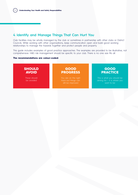#### **4 Identify and Manage Things That Can Hurt You**

Club facilities may be wholly managed by the club or sometimes in partnership with other clubs or District Councils. While working with other organisations, keep communication open and build good working relationships to manage the hazards together and protect people and property.

This guide includes examples of good practice approaches. The examples are provided to be illustrative, not comprehensive. H&S risk management should be specific to your club. There is no one size fits all.

#### **The recommendations are colour-coded:**

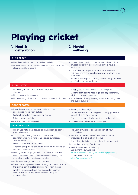**New Zealand Cricket**  $\begin{pmatrix} 6 \end{pmatrix}$ 

# Playing cricket

**1. Heat & dehydration**

#### **2. Mental wellbeing**

#### **THINK ABOUT**

| - New Zealand summers can be hot and dry<br>- In some areas of the country summer storms can make                                                                                            | - H&S of players and club users is not only about the<br>physical aspect but also ensuring players have a                                                                                                                      |
|----------------------------------------------------------------------------------------------------------------------------------------------------------------------------------------------|--------------------------------------------------------------------------------------------------------------------------------------------------------------------------------------------------------------------------------|
| playing conditions unsafe                                                                                                                                                                    | healthy mind.                                                                                                                                                                                                                  |
|                                                                                                                                                                                              | - Unlike other team sports cricket is very much an<br>individual game and can be isolating if a player is not<br>at his best                                                                                                   |
|                                                                                                                                                                                              | - People of any age and at any level of the game may<br>be affected by mental illness                                                                                                                                          |
| <b>SHOULD AVOID</b>                                                                                                                                                                          |                                                                                                                                                                                                                                |
| - No management of sun exposure to players or<br>club users<br>- No drinking water available<br>- No monitoring of weather conditions for suitability to play                                | - Sledging other plays occurs and is accepted<br>- Discrimination against race, age, gender, experience,<br>religion or sexual preference<br>- Accepting or allowing bullying to occur, including direct<br>and cyber bullying |
| <b>GOOD PROGRESS</b>                                                                                                                                                                         |                                                                                                                                                                                                                                |
| - Long sleeves, long trousers and wide hats are<br>encouraged to be worn outside<br>- Sunblock provided at grounds for players<br>- Drinking water available<br>- Weather forecast monitored | - Sledging is discouraged<br>- There is an anti-discriminating and bullying process in<br>place that is led from the top<br>- Any issues are openly discussed and addressed<br>- Unacceptable behaviour is discouraged         |
| <b>GOOD PRACTICE</b>                                                                                                                                                                         |                                                                                                                                                                                                                                |
| - Players use hats, long sleeves, and sunscreen as part of<br>your club culture                                                                                                              | - The Spirit of Cricket is an integral part of your<br>club's culture                                                                                                                                                          |
| - Club culture of being 'sun smart' is extended to<br>spectators who wear hats, long sleeves, sunglasses<br>and sunscreen                                                                    | - Respect for players and officials is demonstrated and<br>encouraged at all levels of the club                                                                                                                                |
| - Shade is provided for spectators                                                                                                                                                           | - Any act of discrimination or bullying is not tolerated<br>Services that may be of assistance:                                                                                                                                |
| - Coaches and parents are made aware of the effects of<br>long term sun exposure<br>- Drinking water for players and spectators is provided                                                  | - Mediation services provided by<br>Employment New Zealand:<br>https://www.employment.govt.nz/resolving-problems/                                                                                                              |
| - Players have adequate fluid intake before, during and<br>after play of either matches or practice                                                                                          | - Citizens Advice Bureau:<br>https://www.cab.org.nz/                                                                                                                                                                           |
| - Water over energy drinks is encouraged                                                                                                                                                     |                                                                                                                                                                                                                                |
| - There are enough drink breaks throughout play to ensure<br>the players stay hydrated and get relief from the sun                                                                           |                                                                                                                                                                                                                                |

— Weather is monitored and play is called in extreme heat or wet conditions, where possible the game is rescheduled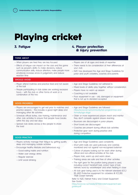## Playing cricket

### **3. Fatigue**

#### **4. Player protection & injury prevention**

#### **THINK ABOUT**

- When players are tired they are less focused
- Effects of fatigue can impact on the club and the game such as people's ability to make decisions, reduce communication skills, reduce attention, make people more emotional, increase errors in judgement, and reduce reaction time
- Players are of all ages and levels of expertise
- There needs to be consideration of their differences at your club
- NZC has developed the Age and Stage Guidelines for junior and youth cricketers, coaches and parents

#### **SHOULD AVOID**

- Player attend matches and practice tired and not aware of the ball
- People participating in club duties are working excessive hours – with the club or other forms of work or a combination of the two
- Age and Stage Guidelines not adhered to
- Mixed levels of ability play together without consideration
- Players have no warm up session
- Coaching is not available
- Poor equipment in use old, damaged or equipment that is not up to standard accepted

#### **GOOD PROGRESS**

- Players are encouraged to get rest prior to matches and practice sessions – this includes a good night sleep and managing other life activities
- Schedule official duties, club training, maintenance and other club activities to ensure that people have breaks within the day and rest days
- Spread club duties across a few people to share the load
- Age and Stage Guidelines are followed *https://www.nzc.nz/community/nzc-programmes-andformats/age-stage*
- Older or more experienced players teach and mentor they don't compete against players learning
- Bouncers are discouraged in junior players
- Short bowls are discouraged
- Coaches are present during official club activities
- Protective gear worn during practice and during competition

#### **GOOD PRACTICE**

- Players actively manage their fatigue by getting quality sleep and managing outside activities
- Encourage healthy lifestyles and behaviours e.g.:
	- Good eating habits and nutrition
	- Water over energy drinks
	- Regular exercise
	- Limit social drinking
- Age and Stage Guidelines used consistently
- Short pitch balls are used judiciously and carefully monitored and not against non-recognised batsman
- Culture of players looking out for each other during official and non-official activities at the club
- Players train, warm up and warm down
- Training areas are safe and free of other activities
- The right gear for the position being played is used, including correct hard/soft ball, correct type of bat, helmets word by wicketkeeper and when fielding in close
- All club gear being used is to the relevant standard (ICC/ BS 6183 Protective equipment for cricketers & ICC/BS 7928 Cricket helmets)

Refer to NZC Helmet Policy and Cricket Equipment Size Guide:

*https://www.nzc.nz/media/12733/cricket-equipment-sizeguides.pdf*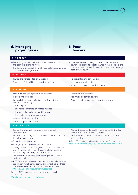**New Zealand Cricket** 

**5. Managing player injuries**

#### **6. Pace bowlers**

#### **THINK ABOUT**

- Depending on the positioned played different parts of the body are prone to injuries
- It is good to be aware of what these differences are and how to best manage them

#### **SHOULD AVOID**

- Injuries are not reported or managed
- There is no first aid kits or trained first aiders
- No prevention strategy in place
- No coaching on technique

pace bowler injury

— No warm up prior to practice or play

#### **GOOD PROGRESS**

- Serious injuries are reported and actioned
- First aid kit(s) available
- Key cricket injuries are identified and first aid kit is stocked correctly e.g.:
- Techniques are coached — Rest times are set for bowlers
- Warm up before matches or practice sessions.

— While fielding and batting can lead to injuries, pace bowlers are prone to specific injuries in the shoulders and lumbar – there are specific ways to prevent and manage

- Head injury
- Shoulders inflamed or irritated muscles,
- Elbows inflamed or irritated tendons
- Hand injuries dislocation/ fractures
- Knee joint tear or inflammation
- Ankle sprains and strains

#### **GOOD PRACTICE**

- Injuries and damage to property are reported and recorded
- Incidents are investigated and solutions found to prevent them happening again
- Trained first aiders at the club
- Emergency management plan is in place
- Young players are encouraged to speak up if they feel pain or discomfort in their shoulders, elbow, knees or other and injury management is started
- The seriousness of concussion management is known and communicated
- ACC Sportsmart resources are used in your club, such as concussion wallet cards, posters and guidebooks – these can be ordered without cost or downloaded here: *https://accsportsmart.co.nz/home/resources*

Refer to NZC resource for an example of a match medical plan: *https://www.nzc.nz/community/resources*

- Age and Stage Guidelines for young pace/fast bowlers are enforced and followed by the club
- Techniques are coached and corrected with support and empathy

Refer NZC bowling guidelines in the Game On resource: *https://www.nzc.nz/media/10802/game-on-resource-002.pdf*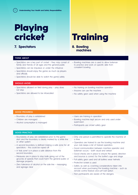## Playing cricket

### **7. Spectators 8. Bowling**

### **Training**

### **machines**

#### **THINK ABOUT**

- Spectators are a key part of cricket they may consist of family and friends of all ages and the general public
- Spectators can be impulsive or under the influence
- Spectators should enjoy the game as much as players and officials
- Spectators should be able to watch the game safely

#### **SHOULD AVOID**

- Spectators allowed on field during play play does not stop
- Spectators are allowed to be intoxicated
- Bowling machines are a used to allow batsman to practice and work on specific skills from consistent bowling
- No training on bowling machine operation
- Anyone can use the machine
- No safety gear used when using the machine

#### **GOOD PROGRESS**

- Boundary of play is established
- Children are managed
- Alcohol consumption is managed
- Users are training in operation
- Bowling machine kept secure and only used under supervision
- Participants use cricket safety gear

#### **GOOD PRACTICE**

- Boundaries of play are established prior to the game start and the boundary is clearly marked by a white line or other system
- A second boundary is defined making a safe zone for all spectators – this could be roped off
- A 'kids zone' is in place a safe distance from the second boundary
- Measures are in place to stop balls going out of the grounds at speeds that could harm the general public or damage property
- Zero tolerance of alcohol on the side line messaging and signage clear
- Only one person is permitted to operate the machine at a time
- Operators are trained to use the bowling machine and your club keeps a list of trained operators
- Good communication between machine operator and batsman occurs – both visual and verbal
- Good checks are in place to ensure the speed, direction and bounce is correct for the batter's age and stage
- Full safety gear used and all batters wear helmets
- Protective screen is used
- Safety as well as coaching considerations taken into account when purchasing the bowling machine – such as remote control feature and soft ball option
- Non participants are aware of the dangers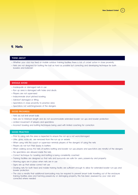

#### **9. Nets**

#### **THINK ABOUT**

- Whether your club has fixed or mobile outdoor training facilities there is lots of cricket action in close proximity
- Nets are not designed for batting the ball as hard as possible but correcting and developing technique for both bowlers and batsmen

#### **SHOULD AVOID**

- Inadequate or damaged nets in use
- Run up area is damaged with holes and divots
- Players are not supervised
- Indiscriminate short pitched bowling
- Astroturf damaged or lifting
- Spectators in close proximity to practice area
- Spectators not watching/aware of the dangers

#### **GOOD PROGRESS**

- Nets do not limit errant balls
- Nets are to minimum length and do not accommodate extended bowler run ups and bowler protection
- Limited movement of players and spectators
- Incorrect bowling and batting techniques being used with limited coaching for correction

#### **GOOD PRACTICE**

- Prior to using nets the area is inspected to ensure the run up is not worn/damaged
- Litter, glass, rocks etc. are removed from the run up or wickets
- When using nets the coach or supervisor reminds players of the dangers of using the nets
- Players do not turn their backs to batters
- When walking across the nets of batters batting and bowler run ups players and spectators are mindful of the dangers
- No spectators are allowed inside the nets
- Correct technique for bowling and batting is being consistently coached
- Training facilities are designed so that nets and surrounds are safe for users, passers-by and property
- Warning signs are in place when nets are in use
- Signs are up that advise correct net use
- Dividing nets for both fixed and mobile training facility are sufficient enough to allow for extended bowler run-ups and bowler protection
- The club is mindful that additional barricading may be required to prevent errant balls travelling out of the enclosure training facilities area and harming passers-by or damaging property, this has been assessed by your club and corrected where needed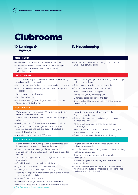### Clubrooms

#### **10.Buildings & signage**

### **11. Housekeeping**

#### **THINK ABOUT**

| - Clubrooms can be owned, leased or shared use<br>- If you lease the club, consult with the owner or agent<br>- If your club is a shared facility, consult and work<br>with other users                                                                                                                                                                                                                                                                                                                                                                         | - You are responsible for managing hazards in areas<br>where club activities occur                                                                                                                                                                                                                                                                                                                                                                                               |
|-----------------------------------------------------------------------------------------------------------------------------------------------------------------------------------------------------------------------------------------------------------------------------------------------------------------------------------------------------------------------------------------------------------------------------------------------------------------------------------------------------------------------------------------------------------------|----------------------------------------------------------------------------------------------------------------------------------------------------------------------------------------------------------------------------------------------------------------------------------------------------------------------------------------------------------------------------------------------------------------------------------------------------------------------------------|
| <b>SHOULD AVOID</b>                                                                                                                                                                                                                                                                                                                                                                                                                                                                                                                                             |                                                                                                                                                                                                                                                                                                                                                                                                                                                                                  |
| - No understanding on standards required for the building<br>used/owned/leased/rented<br>- No understanding if asbestos is present in club building(s)<br>- Entrance and exits to building(s) are uneven or slippery<br>or broken<br>- No external entry/exit lighting<br>- No disabled access<br>- Not having enough wall plugs, so electrical plugs are<br>'piggy' backing each other                                                                                                                                                                         | - Floors surfaces get slippery when raining due to people<br>entering the building<br>- Toilets do not provide basic requirements<br>- Shower facilities/wet areas have mould<br>- Shower room floors are slippery<br>- Frayed wires/faulty electrical plugs<br>- Extensions cords trail across the floor<br>- Cricket spikes allowed to be worn in change rooms<br>and clubrooms                                                                                                |
| <b>GOOD PROGRESS</b>                                                                                                                                                                                                                                                                                                                                                                                                                                                                                                                                            |                                                                                                                                                                                                                                                                                                                                                                                                                                                                                  |
| - Walk around your club building(s) looking for and fixing<br>areas that are not to standard<br>- If your club is a shared facility, conduct walk through with<br>other users<br>- Building warrant of fitness is undertaken and displayed<br>- Signs such as exit, fire extinguisher, first aid, licensed<br>premises signage, etc. are displayed - if applicable<br>- Some lighting installed<br>— A residual current device (RCD) is used                                                                                                                    | - Sporadic clean-ups of entrances and exits<br>- Door mats are in place<br>- Toilet facilities, wet areas and change rooms are<br>cleaned regularly<br>- All electrical equipment is checked before use<br>for damage<br>- Extension cords are used and positioned away from<br>walkways or securely covered<br>- Players remove spike when inside any building                                                                                                                  |
| <b>GOOD PRACTICE</b>                                                                                                                                                                                                                                                                                                                                                                                                                                                                                                                                            |                                                                                                                                                                                                                                                                                                                                                                                                                                                                                  |
| - Communication with building owner is documented and<br>improvement plans and controls are in place<br>- The club knows and manages (or ensures the<br>management of) any building risk - earthquake, asbestos<br>and fire<br>- Asbestos management plans and registers are in place -<br>if applicable<br>- Good lighting in and around the buildings<br>- Signs are put out when conditions are wet<br>- Stairways and ramps are in good working condition<br>- Hand rails, ramps and toilet facilities are in place to cater<br>for persons with disability | - Regular cleaning and maintenance of paths and<br>entrances is completed<br>- Club facilities - toilets, drinking water and hand washing<br>facilities are serviceable<br>- Change rooms and shower facilities are clean<br>and hygienic<br>- Electrical equipment is tagged, maintained and stored<br>when not in use<br>- Culture where players remove spikes remove spikes prior<br>to entering any building - message clearly signposted<br>and reinforced at club meetings |
| - Shower floors are slip resistant                                                                                                                                                                                                                                                                                                                                                                                                                                                                                                                              |                                                                                                                                                                                                                                                                                                                                                                                                                                                                                  |

— There are wall plugs located to suit the club needs

Refer to NZC resource for a copy of the Facilities Checklist *https://www.nzc.nz/community/resources*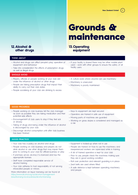### Grounds & maintenance

#### **12.Alcohol & other drugs**

#### **13.Operating equipment**

facility users

#### **THINK ABOUT**

- Alcohol and drugs can affect people's play, operation of equipment and behaviour
- Take into consideration the effects of prescription drugs as well as illegal drugs

#### **SHOULD AVOID**

- Players, officials or people working at your club are under the influence of alcohol or other drugs
- People are taking prescription drugs that impact their ability to carry out their club duties
- People socialising at your club are drinking to excess
- 

— A culture exists where anyone can use machinery

— If your facility is shared there may be other mobile plant used – work with other groups to ensure the safety of all

- Machinery is unsecured
- Machinery is poorly maintained

#### **GOOD PROGRESS**

- People working on club business tell the club manager as soon as possible they are taking medication and their potential side effects
- Encouragement of club users to stop if they feel sick or drowsy
- Taking of drugs and being under the influence of alcohol is discouraged by your club
- Discourage alcohol consumption until after club business has been finished

#### **GOOD PRACTICE**

- Your club has a policy on alcohol and drugs
- People working on club business and players do not drink alcohol or use other drugs that may impair them prior to coming to your club for official business or play
- If premises serves alcohol, it is licenced and has the appropriate licenses
- Staff have completed responsible service of alcohol training
- Your club adheres to host responsibility of not serving intoxicated people or minors

More information on liquor licensing can be found at: *https://www.alcohol.org.nz/alcohol-managementlaws/licensing-local-policies/alcohol-licensing*

- Keys to equipment are kept secured
- Operators are trained in safe use of equipment
- Moving parts of machines are guarded
- Working on grass slopes is considered and managed as a risk
- Equipment is locked-up when not in use
- People are trained on how to use the machinery and inexperienced workers are supervised while in training
- A list of trained operators is kept by your club
- Prior to use, people check the machines making sure they are in good working condition
- Roll over protection and relevant guarding is in place
- Seat belts are used where fitted
- A safe distance is kept between operating machinery and people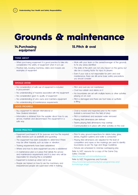### Grounds & maintenance

#### **14.Purchasing equipment**

#### **15.Pitch & oval**

#### **THINK ABOUT**

- When purchasing equipment it is good practice to take into consideration the safety of equipment when it is in use
- Practice nets, bowling machines, rollers and mowers are examples of equipment
- Work with your team or the owner/manager of the grounds to fix any areas identified
- The state of the pitch can not only impact on the game, but also be a causing factor for injury to players
- Even if your club is not responsible for pitch and oval maintenance, there are still some basic safety precautions you should consider

— No boundaries are set with multiple teams or other activities

#### **SHOULD AVOID**

- No consideration of safe use of equipment is included in procurement
- No understanding of hazards associated with the equipment
- No consideration given to quality of equipment
- No understanding of who owns and maintains equipment
- No understanding of maintenance requirements

#### **GOOD PROGRESS**

- Buy equipment to relevant international or New Zealand standard
- Information is obtained from the supplier about how to use, service, maintain and decommission the equipment in a safe way
- Pitch is damaged and there are foot holes or synthetic

— Pitch and oval are not maintained — Oval has rubbish and debris on it

playing on an oval

#### is lifting

- Oval is mowed and inspected prior to the match (rubbish is removed from the field of play)
- Pitch is maintained and excessive water removed
- Playing field dimensions are defined
- Teams playing field dimensions may overlap
- Communication is in place with other activities on the oval

#### **GOOD PRACTICE**

- Equipment purchased is fit for purpose and has the required safety features such as seatbelts and guarding
- The equipment has been evaluated to determine if there may be other hazards, such as noise or vibration
- Training requirements have been established
- Where and how to store equipment securely is established
- A maintenance plan is in place that details the service and maintenance requirements and it is clear who will be responsible for ensuring this is completed
- Equipment is locked-up when not in use
- People are trained on how to use the machinery and inexperienced people are supervised while in training
- Prior to play, ground inspections for debris holes, glass, stones, irrigation systems and water is conducted
- Playing field dimensions are adjusted for the level of competition and ropes or line markings are used to identify boundaries as per the Age and Stage Guidelines
- Fixtures are scheduled to minimise overlapping play Refer to NZC resource for a copy of the Game Day Safety Checklist:

*https://www.nzc.nz/community/resources*

Refer to NZC Programmes and Formats: *https://www.nzc.nz/community/nzc-programmes-andformats/age-stage .*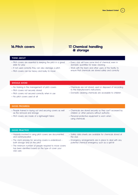**New Zealand Cricket** 



#### **16.Pitch covers 17. Chemical handling & storage**

#### **THINK ABOUT**

- Pitch covers are essential to keeping the pitch in a good state for play
- If not used correctly they can also damage a pitch
- Pitch covers can be heavy and bulky to move
- Every club will have some kind of chemical, even in domestic quantities for basic cleaning
- Work with the team and other users of the facility to ensure that chemicals are stored safely and correctly

#### **SHOULD AVOID**

- No training in the management of pitch covers
- Pitch covers not securely stored
- Pitch covers not secured correctly when in use
- No pitch covers used at all
- Chemicals are not stored, used or disposed of according to the manufacturer's instructions
- Domestic cleaning chemicals are accessible to children

#### **GOOD PROGRESS**

- People trained in laying out and securing covers as well as the removal and storage
- Pitch covers are made of a lightweight fabric
- Chemicals are stored securely so they can't accessed by children or other persons without authority
- Personal protective equipment is worn when using chemicals

#### **GOOD PRACTICE**

- Hazards involved in using pitch covers are documented and communicated
- The club's process for securing covers is understood both storage and on the pitch
- The minimum number of people required to move covers has been identified based on the type of cover your club uses
- Safety data sheets are available for chemicals stored at the club
- Emergency arrangements are in place to deal with any potential chemical emergency such as a spill kit